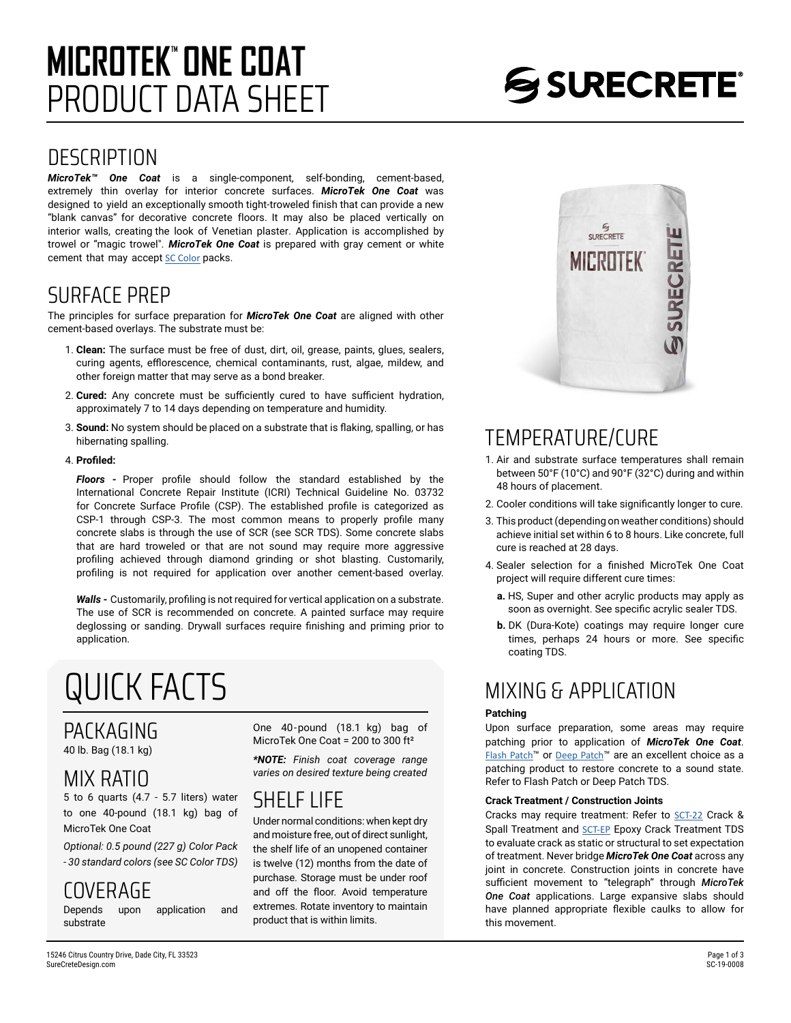## PRODUCT DATA SHEET **MICROTEK**" ONE COAT

### **DESCRIPTION**

*MicroTek™ One Coat* is a single-component, self-bonding, cement-based, extremely thin overlay for interior concrete surfaces. *MicroTek One Coat* was designed to yield an exceptionally smooth tight-troweled finish that can provide a new "blank canvas" for decorative concrete floors. It may also be placed vertically on interior walls, creating the look of Venetian plaster. Application is accomplished by trowel or "magic trowel". *MicroTek One Coat* is prepared with gray cement or white cement that may accept [SC Color](https://www.surecretedesign.com/tds/colors-stains-color-packs-tds.pdf) packs.

### SURFACE PREP

The principles for surface preparation for *MicroTek One Coat* are aligned with other cement-based overlays. The substrate must be:

- 1. **Clean:** The surface must be free of dust, dirt, oil, grease, paints, glues, sealers, curing agents, efflorescence, chemical contaminants, rust, algae, mildew, and other foreign matter that may serve as a bond breaker.
- 2. **Cured:** Any concrete must be sufficiently cured to have sufficient hydration, approximately 7 to 14 days depending on temperature and humidity.
- 3. **Sound:** No system should be placed on a substrate that is flaking, spalling, or has hibernating spalling.

#### 4. **Profiled:**

*Floors -* Proper profile should follow the standard established by the International Concrete Repair Institute (ICRI) Technical Guideline No. 03732 for Concrete Surface Profile (CSP). The established profile is categorized as CSP-1 through CSP-3. The most common means to properly profile many concrete slabs is through the use of [SCR](https://www.surecretedesign.com/product/concrete-cleaner/) (see SCR TDS). Some concrete slabs that are hard troweled or that are not sound may require more aggressive profiling achieved through diamond grinding or shot blasting. Customarily, profiling is not required for application over another cement-based overlay.

*Walls* **-** Customarily, profiling is not required for vertical application on a substrate. The use of SCR is recommended on concrete. A painted surface may require deglossing or sanding. Drywall surfaces require finishing and priming prior to application.

# QUICK FACTS

#### PACKAGING 40 lb. Bag (18.1 kg)

MIX RATIO

### 5 to 6 quarts (4.7 - 5.7 liters) water to one 40-pound (18.1 kg) bag of

MicroTek One Coat *Optional: 0.5 pound (227 g) Color Pack* 

*- 30 standard colors (see SC Color TDS)*

## COVERAGE<br>Depends upon application

Depends upon application and substrate

One 40-pound (18.1 kg) bag of MicroTek One Coat = 200 to 300 ft²

*\*NOTE: Finish coat coverage range varies on desired texture being created*

### SHELF LIFE

Under normal conditions: when kept dry and moisture free, out of direct sunlight, the shelf life of an unopened container is twelve (12) months from the date of purchase. Storage must be under roof and off the floor. Avoid temperature extremes. Rotate inventory to maintain product that is within limits.



### TEMPERATURE/CURE

- 1. Air and substrate surface temperatures shall remain between 50°F (10°C) and 90°F (32°C) during and within 48 hours of placement.
- 2. Cooler conditions will take significantly longer to cure.
- 3. This product (depending on weather conditions) should achieve initial set within 6 to 8 hours. Like concrete, full cure is reached at 28 days.
- 4. Sealer selection for a finished MicroTek One Coat project will require different cure times:
	- **a.** HS, Super and other acrylic products may apply as soon as overnight. See specific acrylic sealer TDS.
	- **b.** DK (Dura-Kote) coatings may require longer cure times, perhaps 24 hours or more. See specific coating TDS.

### MIXING & APPLICATION

#### **Patching**

Upon surface preparation, some areas may require patching prior to application of *MicroTek One Coat*. [Flash Patch](https://www.surecretedesign.com/product/thin-concrete-repair/)™ or [Deep Patch](https://www.surecretedesign.com/product/thick-concrete-repair/)™ are an excellent choice as a patching product to restore concrete to a sound state. Refer to Flash Patch or Deep Patch TDS.

#### **Crack Treatment / Construction Joints**

Cracks may require treatment: Refer to [SCT-22](https://www.surecretedesign.com/product/concrete-crack-treatment/) Crack & Spall Treatment and [SCT-EP](https://www.surecretedesign.com/product/epoxy-concrete-repair/) Epoxy Crack Treatment TDS to evaluate crack as static or structural to set expectation of treatment. Never bridge *MicroTek One Coat* across any joint in concrete. Construction joints in concrete have sufficient movement to "telegraph" through *MicroTek One Coat* applications. Large expansive slabs should have planned appropriate flexible caulks to allow for this movement.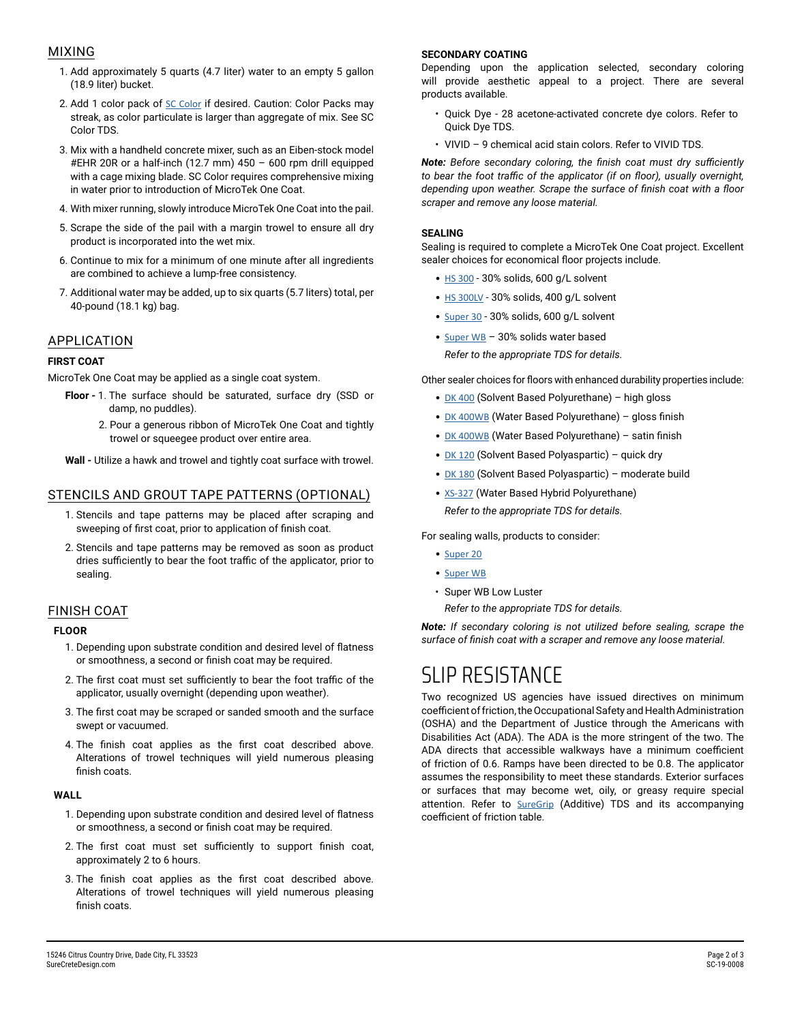#### MIXING

- 1. Add approximately 5 quarts (4.7 liter) water to an empty 5 gallon (18.9 liter) bucket.
- 2. Add 1 color pack of [SC Color](https://www.surecretedesign.com/product/concrete-color-additive/) if desired. Caution: Color Packs may streak, as color particulate is larger than aggregate of mix. See SC Color TDS.
- 3. Mix with a handheld concrete mixer, such as an Eiben-stock model #EHR 20R or a half-inch (12.7 mm) 450 – 600 rpm drill equipped with a cage mixing blade. SC Color requires comprehensive mixing in water prior to introduction of MicroTek One Coat.
- 4. With mixer running, slowly introduce MicroTek One Coat into the pail.
- 5. Scrape the side of the pail with a margin trowel to ensure all dry product is incorporated into the wet mix.
- 6. Continue to mix for a minimum of one minute after all ingredients are combined to achieve a lump-free consistency.
- 7. Additional water may be added, up to six quarts (5.7 liters) total, per 40-pound (18.1 kg) bag.

#### APPLICATION

#### **FIRST COAT**

MicroTek One Coat may be applied as a single coat system.

- **Floor** 1. The surface should be saturated, surface dry (SSD or damp, no puddles).
	- 2. Pour a generous ribbon of MicroTek One Coat and tightly trowel or squeegee product over entire area.

**Wall -** Utilize a hawk and trowel and tightly coat surface with trowel.

#### STENCILS AND GROUT TAPE PATTERNS (OPTIONAL)

- 1. Stencils and tape patterns may be placed after scraping and sweeping of first coat, prior to application of finish coat.
- 2. Stencils and tape patterns may be removed as soon as product dries sufficiently to bear the foot traffic of the applicator, prior to sealing.

#### FINISH COAT

#### **FLOOR**

- 1. Depending upon substrate condition and desired level of flatness or smoothness, a second or finish coat may be required.
- 2. The first coat must set sufficiently to bear the foot traffic of the applicator, usually overnight (depending upon weather).
- 3. The first coat may be scraped or sanded smooth and the surface swept or vacuumed.
- 4. The finish coat applies as the first coat described above. Alterations of trowel techniques will yield numerous pleasing finish coats.

#### **WALL**

- 1. Depending upon substrate condition and desired level of flatness or smoothness, a second or finish coat may be required.
- 2. The first coat must set sufficiently to support finish coat, approximately 2 to 6 hours.
- 3. The finish coat applies as the first coat described above. Alterations of trowel techniques will yield numerous pleasing finish coats.

#### **SECONDARY COATING**

Depending upon the application selected, secondary coloring will provide aesthetic appeal to a project. There are several products available.

- Quick Dye 28 acetone-activated concrete dye colors. Refer to Quick Dye TDS.
- VIVID 9 chemical acid stain colors. Refer to VIVID TDS.

*Note: Before secondary coloring, the finish coat must dry sufficiently to bear the foot traffic of the applicator (if on floor), usually overnight, depending upon weather. Scrape the surface of finish coat with a floor scraper and remove any loose material.*

#### **SEALING**

Sealing is required to complete a MicroTek One Coat project. Excellent sealer choices for economical floor projects include.

- [HS 300](https://www.surecretedesign.com/product/overlay-outdoor-clear-sealer/) 30% solids, 600 g/L solvent
- [HS 300LV](https://www.surecretedesign.com/product/overlay-outdoor-clear-sealer/) 30% solids, 400 g/L solvent
- [Super 30](https://www.surecretedesign.com/product/exterior-concrete-clear-sealer/) 30% solids, 600 g/L solvent
- [Super WB](https://www.surecretedesign.com/product/water-based-clear-outdoor-sealer/) 30% solids water based *Refer to the appropriate TDS for details.*

Other sealer choices for floors with enhanced durability properties include:

- [DK 400](https://www.surecretedesign.com/product/high-gloss-floor-polyurethane/) (Solvent Based Polyurethane) high gloss
- [DK 400WB](https://www.surecretedesign.com/product/wb-clear-floor-polyurethane/) (Water Based Polyurethane) gloss finish
- [DK 400WB](https://www.surecretedesign.com/product/wb-clear-floor-polyurethane/) (Water Based Polyurethane) satin finish
- [DK 120](https://www.surecretedesign.com/product/clear-polyaspartic-floor-coating/) (Solvent Based Polyaspartic) quick dry
- [DK 180](https://www.surecretedesign.com/product/clear-polyaspartic-floor-coating/) (Solvent Based Polyaspartic) moderate build
- [XS-327](https://www.surecretedesign.com/product/concrete-countertop-sealer/) (Water Based Hybrid Polyurethane) *Refer to the appropriate TDS for details.*

For sealing walls, products to consider:

- [Super 20](https://www.surecretedesign.com/product/exterior-concrete-clear-sealer/)
- [Super WB](https://www.surecretedesign.com/product/water-based-clear-outdoor-sealer/)
- Super WB Low Luster

*Refer to the appropriate TDS for details.*

*Note: If secondary coloring is not utilized before sealing, scrape the surface of finish coat with a scraper and remove any loose material.*

### SLIP RESISTANCE

Two recognized US agencies have issued directives on minimum coefficient of friction, the Occupational Safety and Health Administration (OSHA) and the Department of Justice through the Americans with Disabilities Act (ADA). The ADA is the more stringent of the two. The ADA directs that accessible walkways have a minimum coefficient of friction of 0.6. Ramps have been directed to be 0.8. The applicator assumes the responsibility to meet these standards. Exterior surfaces or surfaces that may become wet, oily, or greasy require special attention. Refer to **[SureGrip](https://www.surecretedesign.com/tds/sealers-suregrip-additive-tds.pdf)** (Additive) TDS and its accompanying coefficient of friction table.